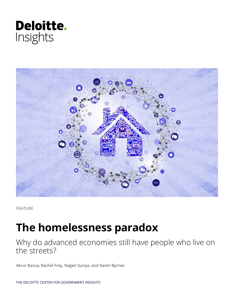



FEATURE

# **The homelessness paradox**

Why do advanced economies still have people who live on the streets?

Akrur Barua, Rachel Frey, Nagen Suriya, and Karen Byrnes

THE DELOITTE CENTER FOR GOVERNMENT INSIGHTS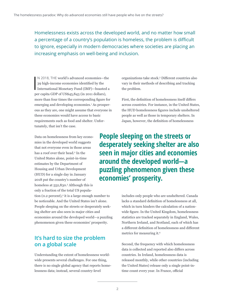Homelessness exists across the developed world, and no matter how small a percentage of a country's population is homeless, the problem is difficult to ignore, especially in modern democracies where societies are placing an increasing emphasis on well-being and inclusion.

N 2018, THE world's advanced economies—the<br>39 high-income economies identified by the<br>International Monetary Fund (IMF)—boasted a<br> $\therefore$  GDD, SUGA is 2016, CRAVING N 2018, THE world's advanced economies—the 39 high-income economies identified by the per capita GDP of US\$45,843 (in 2011 dollars), more than four times the corresponding figure for emerging and developing economies.<sup>1</sup> As prosperous as they are, one might assume that everyone in these economies would have access to basic requirements such as food and shelter. Unfortunately, that isn't the case.

Data on homelessness from key economies in the developed world suggests that not everyone even in those areas has a roof over their head.<sup>2</sup> In the United States alone, point-in-time estimates by the Department of Housing and Urban Development (HUD) for a single day in January 2018 put the country's number of homeless at 552,830.<sup>3</sup> Although this is only a fraction of the total US popula-

tion (0.2 percent),<sup>4</sup> it is a large enough number to be noticeable. And the United States isn't alone. People sleeping on the streets or desperately seeking shelter are also seen in major cities and economies around the developed world—a puzzling phenomenon given these economies' prosperity.

# **It's hard to size the problem on a global scale**

Understanding the extent of homelessness worldwide presents several challenges. For one thing, there is no single global agency that reports homelessness data; instead, several country-level

organizations take stock.<sup>5</sup> Different countries also vary in their methods of describing and tracking the problem.

First, the definition of homelessness itself differs across countries. For instance, in the United States, the HUD homelessness figures include unsheltered people as well as those in temporary shelters. In Japan, however, the definition of homelessness

**People sleeping on the streets or desperately seeking shelter are also seen in major cities and economies around the developed world—a puzzling phenomenon given these economies' prosperity.**

> includes only people who are unsheltered. Canada lacks a standard definition of homelessness at all, which in turn hinders the calculation of a nationwide figure. In the United Kingdom, homelessness statistics are tracked separately in England, Wales, Northern Ireland, and Scotland, each of which has a different definition of homelessness and different metrics for measuring it.<sup>6</sup>

> Second, the frequency with which homelessness data is collected and reported also differs across countries. In Ireland, homelessness data is released monthly, while other countries (including the United States) release only a single point-intime count every year. In France, official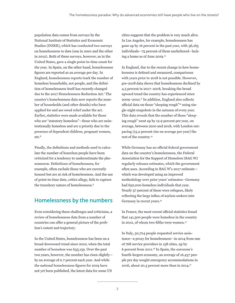population data comes from surveys by the National Institute of Statistics and Economic Studies (INSEE), which has conducted two surveys on homelessness to date (one in 2001 and the other in 2012). Both of these surveys, however, as in the United States, gave a single point-in-time count for the year. In Spain, on the other hand, homelessness figures are reported as an average per day. In England, homelessness reports track the number of homeless households, not people, and the definition of homelessness itself has recently changed due to the 2017 Homelessness Reduction Act.7 The country's homelessness data now reports the number of households (and other details) who have applied for and are owed relief under the act. Earlier, statistics were made available for those who are "statutory homeless"—those who are unintentionally homeless and are a priority due to the presence of dependent children, pregnant women, etc.8

Finally, the definitions and methods used to calculate the number of homeless people have been criticized for a tendency to underestimate the phenomenon. Definitions of homelessness, for example, often exclude those who are currently housed but are at risk of homelessness. And the use of point-in-time data, critics allege, fails to capture the transitory nature of homelessness.<sup>9</sup>

# **Homelessness by the numbers**

Even considering these challenges and criticisms, a review of homelessness data from a number of countries can offer a general picture of the problem's extent and trajectory.

In the United States, homelessness has been on a broad downward trend since 2010, when the total number of homeless was 635,159. Over the past two years, however, the number has risen slightly by an average of 0.7 percent each year. And while the national homelessness figures for 2019 have not yet been published, the latest data for some US

cities suggests that the problem is very much alive. In Los Angeles, for example, homelessness has gone up by 16 percent in the past year, with 36,165 individuals—75 percent of them unsheltered—lacking a home as of June 2019.10

In England, due to the recent change in how homelessness is defined and measured, comparisons with years prior to 2018 is not possible. However, pre-2018 data shows that homelessness declined by 4.5 percent in 2017–2018, breaking the broad upward trend the country has experienced since 2009–2010.11 In addition, England also collects official data on those "sleeping rough"12 using single-night snapshots in the autumn of every year. This data reveals that the number of those "sleeping rough" went up by 12.9 percent per year, on average, between 2010 and 2018, with London outpacing (15.2 percent rise on average per year) the rest of the country.<sup>13</sup>

While Germany has no official federal government data on the country's homelessness, the Federal Association for the Support of Homeless (BAG W) regularly releases estimates, which the government often uses. According to BAG W's 2017 estimate which was developed using an improved methodology over prior years' estimates—Germany had 650,000 homeless individuals that year. Nearly 57 percent of these were refugees, likely reflecting the large influx of asylum seekers into Germany in recent years.14

In France, the most recent official statistics found that 141,500 people were homeless in the country in 2012, of whom two-fifths were women.<sup>15</sup>

In Italy, 50,724 people requested service assistance—a proxy for homelessness—in 2014 from one of 768 service providers in 158 cities, up by 6 percent from 2011.16 In Spain, the eurozone's fourth-largest economy, an average of 16,437 people per day sought emergency accommodations in 2016, about 20.5 percent more than in 2014.17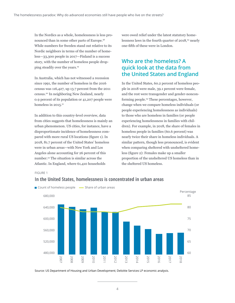In the Nordics as a whole, homelessness is less pronounced than in some other parts of Europe.18 While numbers for Sweden stand out relative to its Nordic neighbors in terms of the number of homeless—33,300 people in 2017—Finland is a success story, with the number of homeless people dropping steadily over the years.19

In Australia, which has not witnessed a recession since 1991, the number of homeless in the 2016 census was 116,427, up 13.7 percent from the 2011 census.20 In neighboring New Zealand, nearly 0.9 percent of its population or 41,207 people were homeless in  $2015.^{21}$ 

In addition to this country-level overview, data from cities suggests that homelessness is mainly an urban phenomenon. US cities, for instance, have a disproportionate incidence of homelessness compared with more rural US locations (figure 1). In 2018, 81.7 percent of the United States' homeless were in urban areas—with New York and Los Angeles alone accounting for 26 percent of this number.22 The situation is similar across the Atlantic. In England, where 61,410 households

were owed relief under the latest statutory homelessness laws in the fourth quarter of 2018,<sup>23</sup> nearly one-fifth of these were in London.

# **Who are the homeless? A quick look at the data from the United States and England**

In the United States, 60.2 percent of homeless people in 2018 were male, 39.1 percent were female, and the rest were transgender and gender-nonconforming people.<sup>24</sup> These percentages, however, change when we compare homeless individuals (or people experiencing homelessness as individuals) to those who are homeless in families (or people experiencing homelessness in families with children). For example, in 2018, the share of females in homeless people in families (60.6 percent) was nearly twice their share in homeless individuals. A similar pattern, though less pronounced, is evident when comparing sheltered with unsheltered homeless (figure 2): Females make up a smaller proportion of the unsheltered US homeless than in the sheltered US homeless.

#### FIGURE 1



### **In the United States, homelessness is concentrated in urban areas**

Source: US Department of Housing and Urban Development; Deloitte Services LP economic analysis.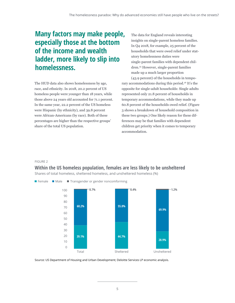# **Many factors may make people, especially those at the bottom of the income and wealth ladder, more likely to slip into homelessness.**

The HUD data also shows homelessness by age, race, and ethnicity. In 2018, 20.2 percent of US homeless people were younger than 18 years, while those above 24 years old accounted for 71.1 percent. In the same year, 22.2 percent of the US homeless were Hispanic (by ethnicity), and 39.8 percent were African-Americans (by race). Both of these percentages are higher than the respective groups' share of the total US population.

The data for England reveals interesting insights on single-parent homeless families. In Q4 2018, for example, 25 percent of the households that were owed relief under statutory homelessness duties were single-parent families with dependent children.<sup>25</sup> However, single-parent families made up a much larger proportion

(43.9 percent) of the households in temporary accommodations during this period.26 It's the opposite for single-adult households: Single adults represented only 21.8 percent of households in temporary accommodations, while they made up 60.8 percent of the households owed relief. (Figure 3 shows a breakdown of household composition in these two groups.) One likely reason for these differences may be that families with dependent children get priority when it comes to temporary accommodation.

#### FIGURE 2

### **Within the US homeless population, females are less likely to be unsheltered**

Shares of total homeless, sheltered homeless, and unsheltered homeless (%)

 $\blacksquare$  Female  $\blacksquare$  Male  $\blacksquare$  Transgender or gender noncomforming



Source: US Department of Housing and Urban Development; Deloitte Services LP economic analysis.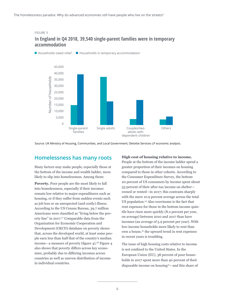#### FIGURE 3

### **In England in Q4 2018, 39,540 single-parent families were in temporary accommodation**



Source: UK Ministry of Housing, Communities, and Local Government; Deloitte Services LP economic analysis.

## **Homelessness has many roots**

Many factors may make people, especially those at the bottom of the income and wealth ladder, more likely to slip into homelessness. Among them:

**Poverty.** Poor people are the most likely to fall into homelessness, especially if their incomes remain low relative to major expenditures such as housing, or if they suffer from sudden events such as job loss or an unexpected (and costly) illness. According to the US Census Bureau, 39.7 million Americans were classified as "living below the poverty line" in 2017.<sup>27</sup> Comparable data from the Organization for Economic Cooperation and Development (OECD) database on poverty shows that, across the developed world, at least some people earn less than half that of the country's median income—a measure of poverty (figure  $4$ ).<sup>28</sup> Figure  $4$ also shows that poverty differs across key economies, probably due to differing incomes across countries as well as uneven distribution of income in individual countries.

#### **High cost of housing relative to income.**

People at the bottom of the income ladder spend a greater proportion of their incomes on housing compared to those in other cohorts. According to the Consumer Expenditure Survey, the bottom 20 percent of US consumers by income spent about 53 percent of their after-tax income on shelter owned or rented—in 2017; this contrasts sharply with the mere 10.9 percent average across the total US population.29 Also worrisome is the fact that rent expenses for those in the bottom income quintile have risen more quickly (8.2 percent per year, on average) between 2010 and 2017 than have incomes (an average of 5.9 percent per year). With low-income households more likely to rent than own a house,<sup>30</sup> the upward trend in rent expenses in recent years is troubling.

The issue of high housing costs relative to income is not confined to the United States. In the European Union (EU), 38 percent of poor households in 2017 spent more than 40 percent of their disposable income on housing31—and this share of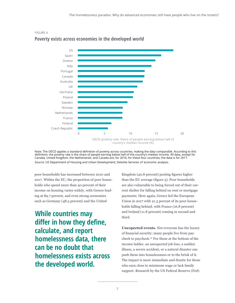



# **Poverty exists across economies in the developed world**

OECD poverty rate: Share of people earning below half of country's median income (%)

Note: The OECD applies a standard definition of poverty across countries, making the data comparable. According to this definition, the poverty rate is the share of people earning below half of the country's median income. All data, except for Canada, United Kingdom, the Netherlands, and Canada are, for 2016; for these four countries, the data is for 2017. Source: US Department of Housing and Urban Development; Deloitte Services LP economic analysis.

poor households has increased between 2010 and 2017. Within the EU, the proportion of poor households who spend more than 40 percent of their income on housing varies widely, with Greece leading at 89.7 percent, and even strong economies such as Germany (48.5 percent) and the United

**While countries may differ in how they define, calculate, and report homelessness data, there can be no doubt that homelessness exists across the developed world.** 

Kingdom (40.8 percent) posting figures higher than the EU average (figure 5). Poor households are also vulnerable to being forced out of their current shelter for falling behind on rent or mortgage payments. Here again, Greece led the European Union in 2017 with 21.3 percent of its poor households falling behind, with France (16.8 percent) and Ireland (11.8 percent) coming in second and third.

**Unexpected events.** Not everyone has the luxury of financial security; many people live from paycheck to paycheck.32 For those at the bottom of the income ladder, an unexpected job loss, a sudden illness, a severe accident, or a natural disaster can push them into homelessness or to the brink of it. The impact is more immediate and drastic for those who earn close to minimum wage or lack family support. Research by the US Federal Reserve (Fed)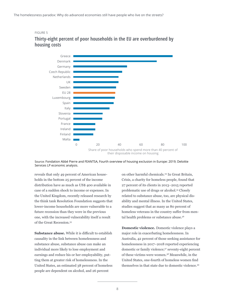

## **Thirty-eight percent of poor households in the EU are overburdened by housing costs**



Source: Fondation Abbé Pierre and FEANTSA, Fourth overview of housing exclusion in Europe: 2019; Deloitte Services LP economic analysis.

reveals that only 49 percent of American households in the bottom 25 percent of the income distribution have as much as US\$ 400 available in case of a sudden shock to income or expenses. In the United Kingdom, recently released research by the think tank Resolution Foundation suggests that lower-income households are more vulnerable to a future recession than they were in the previous one, with the increased vulnerability itself a result of the Great Recession.<sup>33</sup>

**Substance abuse.** While it is difficult to establish causality in the link between homelessness and substance abuse, substance abuse can make an individual more likely to lose employment and earnings and reduce his or her employability, putting them at greater risk of homelessness. In the United States, an estimated 38 percent of homeless people are dependent on alcohol, and 26 percent

on other harmful chemicals.<sup>34</sup> In Great Britain, Crisis, a charity for homeless people, found that 27 percent of its clients in 2013–2015 reported problematic use of drugs or alcohol.<sup>35</sup> Closely related to substance abuse, too, are physical disability and mental illness. In the United States, studies suggest that as many as 80 percent of homeless veterans in the country suffer from mental health problems or substance abuse.<sup>36</sup>

**Domestic violence.** Domestic violence plays a major role in exacerbating homelessness. In Australia, 42 percent of those seeking assistance for homelessness in 2017–2018 reported experiencing domestic or family violence;37 seventy-eight percent of these victims were women.38 Meanwhile, in the United States, one-fourth of homeless women find themselves in that state due to domestic violence.<sup>39</sup>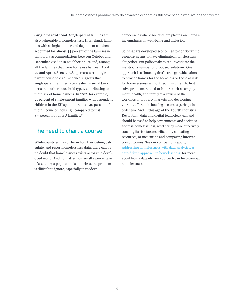**Single parenthood.** Single-parent families are also vulnerable to homelessness. In England, families with a single mother and dependent children accounted for almost 44 percent of the families in temporary accommodations between October and December 2018.40 In neighboring Ireland, among all the families that were homeless between April 22 and April 28, 2019, 58.1 percent were singleparent households.41 Evidence suggests that single-parent families face greater financial burdens than other household types, contributing to their risk of homelessness. In 2017, for example, 21 percent of single-parent families with dependent children in the EU spent more than 40 percent of their income on housing—compared to just 8.7 percent for all EU families.42

# **The need to chart a course**

While countries may differ in how they define, calculate, and report homelessness data, there can be no doubt that homelessness exists across the developed world. And no matter how small a percentage of a country's population is homeless, the problem is difficult to ignore, especially in modern

democracies where societies are placing an increasing emphasis on well-being and inclusion.

So, what are developed economies to do? So far, no economy seems to have eliminated homelessness altogether. But policymakers can investigate the merits of a number of proposed solutions. One approach is a "housing first" strategy, which aims to provide homes for the homeless or those at risk for homelessness without requiring them to first solve problems related to factors such as employment, health, and family.43 A review of the workings of property markets and developing vibrant, affordable housing sectors is perhaps in order too. And in this age of the Fourth Industrial Revolution, data and digital technology can and should be used to help governments and societies address homelessness, whether by more effectively tracking its risk factors, efficiently allocating resources, or measuring and comparing intervention outcomes. See our companion report, [Addressing homelessness with data analytics: A](https://www2.deloitte.com/us/en/insights/industry/public-sector/homelessness-data.html)  [data-driven approach to homelessness,](https://www2.deloitte.com/us/en/insights/industry/public-sector/homelessness-data.html) for more about how a data-driven approach can help combat homelessness.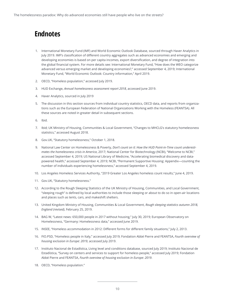# **Endnotes**

- 1. International Monetary Fund (IMF) and World Economic Outlook Database, sourced through Haver Analytics in July 2019. IMF's classification of different country aggregates such as advanced economies and emerging and developing economies is based on per capita incomes, export diversification, and degree of integration into the global financial system. For more details see: International Monetary Fund, "How does the WEO categorize advanced versus emerging market and developing economies?," accessed September 4, 2019; International Monetary Fund, "World Economic Outlook: Country information," April 2019.
- 2. OECD, "Homeless population," accessed July 2019.
- 3. HUD Exchange, *Annual homelessness assessment report 2018*, accessed June 2019.
- 4. Haver Analytics, sourced in July 2019
- 5. The discussion in this section sources from individual country statistics, OECD data, and reports from organizations such as the European Federation of National Organizations Working with the Homeless (FEANTSA). All these sources are noted in greater detail in subsequent sections.
- 6. Ibid.
- 7. Ibid; UK Ministry of Housing, Communities & Local Government, "Changes to MHCLG's statutory homelessness statistics," accessed August 2018.
- 8. Gov.UK, "Statutory homelessness," October 1, 2018.
- 9. National Law Center on Homelessness & Poverty, *Don't count on it: How the HUD Point-in-Time count underestimates the homelessness crisis in America*, 2017; National Center for Biotechnology (NCBI), "Welcome to NCBI," accessed September 4, 2019; US National Library of Medicine, "Accelerating biomedical discovery and datapowered health," accessed September 4, 2019; NCBI, "Permanent Supportive Housing: Appendix—counting the number of individuals experiencing homelessness," accessed September 4, 2019.
- 10. Los Angeles Homeless Services Authority, "2019 Greater Los Angeles homeless count results," June 4, 2019.
- 11. Gov.UK, "Statutory homelessness."
- 12. According to the Rough Sleeping Statistics of the UK Ministry of Housing, Communities, and Local Government, "sleeping rough" is defined by local authorities to include those sleeping or about to do so in open-air locations and places such as tents, cars, and makeshift shelters.
- 13. United Kingdom Ministry of Housing, Communities & Local Government, *Rough sleeping statistics autumn 2018, England (revised)*, February 25, 2019.
- 14. BAG W, "Latest news: 650,000 people in 2017 without housing," July 30, 2019; European Observatory on Homelessness, "Germany: Homelessness data," accessed June 2019.
- 15. INSEE, "Homeless accommodation in 2012: Different forms for different family situations," July 2, 2013.
- 16. FIO.PSD, "Homeless people in Italy," accessed July 2019; Fondation Abbé Pierre and FEANTSA, *Fourth overview of housing exclusion in Europe: 2019*, accessed July 2019.
- 17. Instituto Nacional de Estadística, Living level and conditions database, sourced July 2019; Instituto Nacional de Estadística, "Survey on centers and services to support for homeless people," accessed July 2019; Fondation Abbé Pierre and FEANTSA, *Fourth overview of housing exclusion in Europe: 2019*.
- 18. OECD, "Homeless population."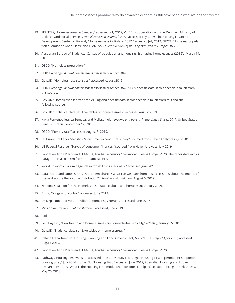- 19. FEANTSA, "Homelessness in Sweden," accessed July 2019; VIVE (in cooperation with the Denmark Ministry of Children and Social Services), *Homelessness in Denmark 2017*, accessed July 2019; The Housing Finance and Development Center of Finland, "Homelessness in Finland 2017," accessed July 2019; OECD, "Homeless population"; Fondation Abbé Pierre and FEANTSA, *Fourth overview of housing exclusion in Europe: 2019*.
- 20. Australian Bureau of Statistics, "Census of population and housing: Estimating homelessness (2016)," March 14, 2018.
- 21. OECD, "Homeless population."
- 22. HUD Exchange, *Annual homelessness assessment report 2018*.
- 23. Gov.UK, "Homelessness statistics," accessed August 2019.
- 24. HUD Exchange, *Annual homelessness assessment report 2018*. All US-specific data in this section is taken from this source.
- 25. Gov.UK, "Homelessness statistics." All England-specific data in this section is taken from this and the following source.
- 26. Gov.UK, "Statistical data set: Live tables on homelessness," accessed August 2019.
- 27. Kayla Fontenot, Jessica Semega, and Melissa Kolar, *Income and poverty in the United States: 2017*, United States Census Bureau, September 12, 2018.
- 28. OECD, "Poverty rate," accessed August 8, 2019.
- 29. US Bureau of Labor Statistics, "Consumer expenditure survey," sourced from Haver Analytics in July 2019.
- 30. US Federal Reserve, "Survey of consumer finances," sourced from Haver Analytics, July 2019.
- 31. Fondation Abbé Pierre and FEANTSA, *Fourth overview of housing exclusion in Europe: 2019*. The other data in this paragraph is also taken from the same source.
- 32. World Economic Forum, "Agenda in focus: Fixing inequality," accessed June 2019.
- 33. Cara Pacitti and James Smith, "A problem shared? What can we learn from past recessions about the impact of the next across the income distribution?," *Resolution Foundation*, August 5, 2019.
- 34. National Coalition for the Homeless, "Substance abuse and homelessness," July 2009.
- 35. Crisis, "Drugs and alcohol," accessed June 2019.
- 36. US Department of Veteran Affairs, "Homeless veterans," accessed June 2019.
- 37. Mission Australia, *Out of the shadows*, accessed June 2019.
- 38. Ibid.
- 39. Seiji Hayashi, "How health and homelessness are connected—medically," *Atlantic*, January 25, 2016.
- 40. Gov.UK, "Statistical data set: Live tables on homelessness."
- 41. Ireland Department of Housing, Planning and Local Government, *Homelessness report April 2019*, accessed August 2019.
- 42. Fondation Abbé Pierre and FEANTSA, *Fourth overview of housing exclusion in Europe: 2019*.
- 43. Pathways Housing First website, accessed June 2019; HUD Exchange, "Housing First in permanent supportive housing brief," July 2014; Home\_EU, "Housing First," accessed June 2019; Australian Housing and Urban Research Institute, "What is the Housing First model and how does it help those experiencing homelessness?," May 25, 2018.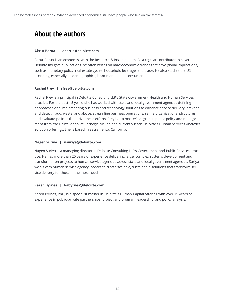# **About the authors**

#### **Akrur Barua | abarua@deloitte.com**

Akrur Barua is an economist with the Research & Insights team. As a regular contributor to several Deloitte Insights publications, he often writes on macroeconomic trends that have global implications, such as monetary policy, real estate cycles, household leverage, and trade. He also studies the US economy, especially its demographics, labor market, and consumers.

#### **Rachel Frey | rfrey@deloitte.com**

Rachel Frey is a principal in Deloitte Consulting LLP's State Government Health and Human Services practice. For the past 15 years, she has worked with state and local government agencies defining approaches and implementing business and technology solutions to enhance service delivery; prevent and detect fraud, waste, and abuse; streamline business operations; refine organizational structures; and evaluate policies that drive these efforts. Frey has a master's degree in public policy and management from the Heinz School at Carnegie Mellon and currently leads Deloitte's Human Services Analytics Solution offerings. She is based in Sacramento, California.

#### **Nagen Suriya | nsuriya@deloitte.com**

Nagen Suriya is a managing director in Deloitte Consulting LLP's Government and Public Services practice. He has more than 20 years of experience delivering large, complex systems development and transformation projects to human service agencies across state and local government agencies. Suriya works with human service agency leaders to create scalable, sustainable solutions that transform service delivery for those in the most need.

#### **Karen Byrnes | kabyrnes@deloitte.com**

Karen Byrnes, PhD, is a specialist master in Deloitte's Human Capital offering with over 15 years of experience in public-private partnerships, project and program leadership, and policy analysis.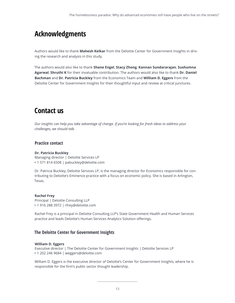# **Acknowledgments**

Authors would like to thank **Mahesh Kelkar** from the Deloitte Center for Government Insights in driving the research and analysis in this study.

The authors would also like to thank **Shane Engel**, **Stacy Zhong**, **Kannan Sundararajan**, **Sushumna Agarwal**, **Shruthi K** for their invaluable contribution. The authors would also like to thank **Dr. Daniel Bachman** and **Dr. Patricia Buckley** from the Economics Team and **William D. Eggers** from the Deloitte Center for Government Insights for their thoughtful input and review at critical junctures.

# **Contact us**

*Our insights can help you take advantage of change. If you're looking for fresh ideas to address your challenges, we should talk.*

### **Practice contact**

#### **Dr. Patricia Buckley**

Managing director | Deloitte Services LP + 1 571 814 6508 | pabuckley@deloitte.com

Dr. Patricia Buckley, Deloitte Services LP, is the managing director for Economics responsible for contributing to Deloitte's Eminence practice with a focus on economic policy. She is based in Arlington, Texas.

#### **Rachel Frey**

Principal | Deloitte Consulting LLP + 1 916 288 3972 | rfrey@deloitte.com

Rachel Frey is a principal in Deloitte Consulting LLP's State Government Health and Human Services practice and leads Deloitte's Human Services Analytics Solution offerings.

### **The Deloitte Center for Government Insights**

#### **William D. Eggers**

Executive director | The Deloitte Center for Government Insights | Deloitte Services LP + 1 202 246 9684 | weggers@deloitte.com

William D. Eggers is the executive director of Deloitte's Center for Government Insights, where he is responsible for the firm's public sector thought leadership.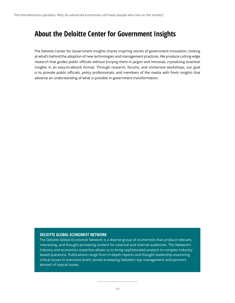# **About the Deloitte Center for Government Insights**

The Deloitte Center for Government Insights shares inspiring stories of government innovation, looking at what's behind the adoption of new technologies and management practices. We produce cutting-edge research that guides public officials without burying them in jargon and minutiae, crystalizing essential insights in an easy-to-absorb format. Through research, forums, and immersive workshops, our goal is to provide public officials, policy professionals, and members of the media with fresh insights that advance an understanding of what is possible in government transformation.

#### **DELOITTE GLOBAL ECONOMIST NETWORK**

The Deloitte Global Economist Network is a diverse group of economists that produce relevant, interesting, and thought-provoking content for external and internal audiences. The Network's industry and economics expertise allows us to bring sophisticated analysis to complex industrybased questions. Publications range from in-depth reports and thought leadership examining critical issues to executive briefs aimed at keeping Deloitte's top management and partners abreast of topical issues.